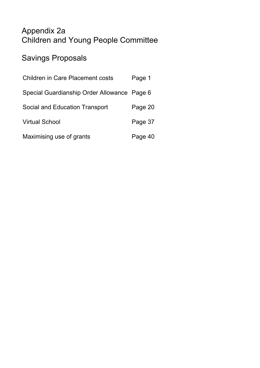# Appendix 2a Children and Young People Committee

# Savings Proposals

| <b>Children in Care Placement costs</b>     | Page 1  |
|---------------------------------------------|---------|
| Special Guardianship Order Allowance Page 6 |         |
| Social and Education Transport              | Page 20 |
| <b>Virtual School</b>                       | Page 37 |
| Maximising use of grants                    | Page 40 |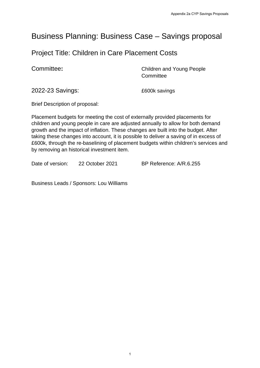# Business Planning: Business Case – Savings proposal

# Project Title: Children in Care Placement Costs

**Committee:** Committee: Committee: Committee: **Committee** 

2022-23 Savings: £600k savings

Brief Description of proposal:

Placement budgets for meeting the cost of externally provided placements for children and young people in care are adjusted annually to allow for both demand growth and the impact of inflation. These changes are built into the budget. After taking these changes into account, it is possible to deliver a saving of in excess of £600k, through the re-baselining of placement budgets within children's services and by removing an historical investment item.

Date of version: 22 October 2021 BP Reference: A/R.6.255

Business Leads / Sponsors: Lou Williams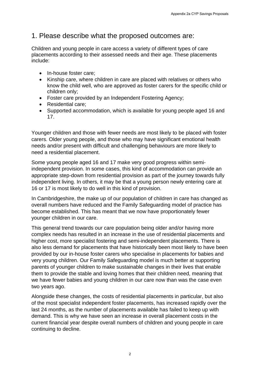## 1. Please describe what the proposed outcomes are:

Children and young people in care access a variety of different types of care placements according to their assessed needs and their age. These placements include:

- In-house foster care:
- Kinship care, where children in care are placed with relatives or others who know the child well, who are approved as foster carers for the specific child or children only;
- Foster care provided by an Independent Fostering Agency;
- Residential care:
- Supported accommodation, which is available for young people aged 16 and 17.

Younger children and those with fewer needs are most likely to be placed with foster carers. Older young people, and those who may have significant emotional health needs and/or present with difficult and challenging behaviours are more likely to need a residential placement.

Some young people aged 16 and 17 make very good progress within semiindependent provision. In some cases, this kind of accommodation can provide an appropriate step-down from residential provision as part of the journey towards fully independent living. In others, it may be that a young person newly entering care at 16 or 17 is most likely to do well in this kind of provision.

In Cambridgeshire, the make up of our population of children in care has changed as overall numbers have reduced and the Family Safeguarding model of practice has become established. This has meant that we now have proportionately fewer younger children in our care.

This general trend towards our care population being older and/or having more complex needs has resulted in an increase in the use of residential placements and higher cost, more specialist fostering and semi-independent placements. There is also less demand for placements that have historically been most likely to have been provided by our in-house foster carers who specialise in placements for babies and very young children. Our Family Safeguarding model is much better at supporting parents of younger children to make sustainable changes in their lives that enable them to provide the stable and loving homes that their children need, meaning that we have fewer babies and young children in our care now than was the case even two years ago.

Alongside these changes, the costs of residential placements in particular, but also of the most specialist independent foster placements, has increased rapidly over the last 24 months, as the number of placements available has failed to keep up with demand. This is why we have seen an increase in overall placement costs in the current financial year despite overall numbers of children and young people in care continuing to decline.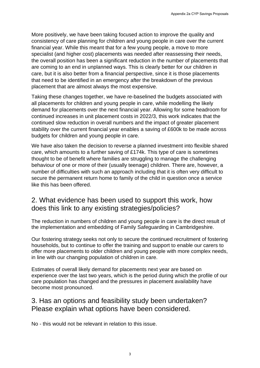More positively, we have been taking focused action to improve the quality and consistency of care planning for children and young people in care over the current financial year. While this meant that for a few young people, a move to more specialist (and higher cost) placements was needed after reassessing their needs, the overall position has been a significant reduction in the number of placements that are coming to an end in unplanned ways. This is clearly better for our children in care, but it is also better from a financial perspective, since it is those placements that need to be identified in an emergency after the breakdown of the previous placement that are almost always the most expensive.

Taking these changes together, we have re-baselined the budgets associated with all placements for children and young people in care, while modelling the likely demand for placements over the next financial year. Allowing for some headroom for continued increases in unit placement costs in 2022/3, this work indicates that the continued slow reduction in overall numbers and the impact of greater placement stability over the current financial year enables a saving of £600k to be made across budgets for children and young people in care.

We have also taken the decision to reverse a planned investment into flexible shared care, which amounts to a further saving of £174k. This type of care is sometimes thought to be of benefit where families are struggling to manage the challenging behaviour of one or more of their (usually teenage) children. There are, however, a number of difficulties with such an approach including that it is often very difficult to secure the permanent return home to family of the child in question once a service like this has been offered.

# 2. What evidence has been used to support this work, how does this link to any existing strategies/policies?

The reduction in numbers of children and young people in care is the direct result of the implementation and embedding of Family Safeguarding in Cambridgeshire.

Our fostering strategy seeks not only to secure the continued recruitment of fostering households, but to continue to offer the training and support to enable our carers to offer more placements to older children and young people with more complex needs, in line with our changing population of children in care.

Estimates of overall likely demand for placements next year are based on experience over the last two years, which is the period during which the profile of our care population has changed and the pressures in placement availability have become most pronounced.

## 3. Has an options and feasibility study been undertaken? Please explain what options have been considered.

No - this would not be relevant in relation to this issue.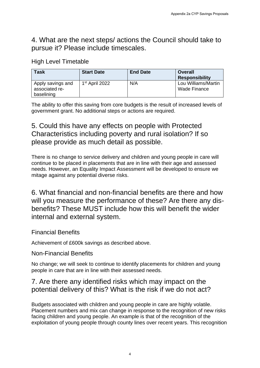# 4. What are the next steps/ actions the Council should take to pursue it? Please include timescales.

### High Level Timetable

| <b>Task</b>                                       | <b>Start Date</b>          | <b>End Date</b> | Overall<br><b>Responsibility</b>    |
|---------------------------------------------------|----------------------------|-----------------|-------------------------------------|
| Apply savings and<br>associated re-<br>baselining | 1 <sup>st</sup> April 2022 | N/A             | Lou Williams/Martin<br>Wade Finance |

The ability to offer this saving from core budgets is the result of increased levels of government grant. No additional steps or actions are required.

# 5. Could this have any effects on people with Protected Characteristics including poverty and rural isolation? If so please provide as much detail as possible.

There is no change to service delivery and children and young people in care will continue to be placed in placements that are in line with their age and assessed needs. However, an Equality Impact Assessment will be developed to ensure we mitage against any potential diverse risks.

6. What financial and non-financial benefits are there and how will you measure the performance of these? Are there any disbenefits? These MUST include how this will benefit the wider internal and external system.

Financial Benefits

Achievement of £600k savings as described above.

Non-Financial Benefits

No change; we will seek to continue to identify placements for children and young people in care that are in line with their assessed needs.

# 7. Are there any identified risks which may impact on the potential delivery of this? What is the risk if we do not act?

Budgets associated with children and young people in care are highly volatile. Placement numbers and mix can change in response to the recognition of new risks facing children and young people. An example is that of the recognition of the exploitation of young people through county lines over recent years. This recognition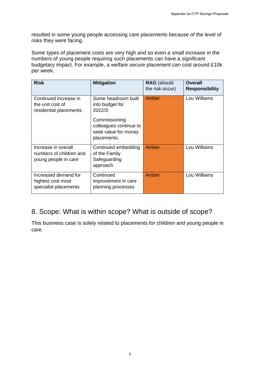resulted in some young people accessing care placements because of the level of risks they were facing.

Some types of placement costs are very high and so even a small increase in the numbers of young people requiring such placements can have a significant budgetary impact. For example, a welfare secure placement can cost around £10k per week.

| <b>Risk</b>                                                            | <b>Mitigation</b>                                                              | <b>RAG</b> (should<br>the risk occur) | <b>Overall</b><br><b>Responsibility</b> |
|------------------------------------------------------------------------|--------------------------------------------------------------------------------|---------------------------------------|-----------------------------------------|
| Continued increase in<br>the unit cost of<br>residential placements    | Some headroom built<br>into budget for<br>$2022/3$ ;                           | Amber                                 | Lou Williams                            |
|                                                                        | Commissioning<br>colleagues continue to<br>seek value for money<br>placements. |                                       |                                         |
| Increase in overall<br>numbers of children and<br>young people in care | Continued embedding<br>of the Family<br>Safeguarding<br>approach               | Amber                                 | Lou Williams                            |
| Increased demand for<br>highest cost most<br>specialist placements     | Continued<br>improvement in care<br>planning processes                         | Amber                                 | Lou Williams                            |

# 8. Scope: What is within scope? What is outside of scope?

This business case is solely related to placements for children and young people in care.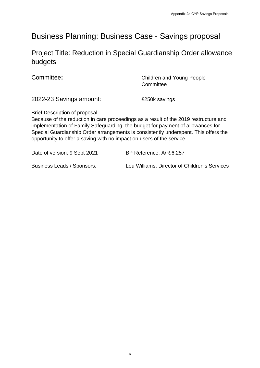# Business Planning: Business Case - Savings proposal

Project Title: Reduction in Special Guardianship Order allowance budgets

**Committee:** Committee: **Committee:** Children and Young People Committee

2022-23 Savings amount: £250k savings

Brief Description of proposal:

Because of the reduction in care proceedings as a result of the 2019 restructure and implementation of Family Safeguarding, the budget for payment of allowances for Special Guardianship Order arrangements is consistently underspent. This offers the opportunity to offer a saving with no impact on users of the service.

Date of version: 9 Sept 2021 BP Reference: A/R.6.257

Business Leads / Sponsors: Lou Williams, Director of Children's Services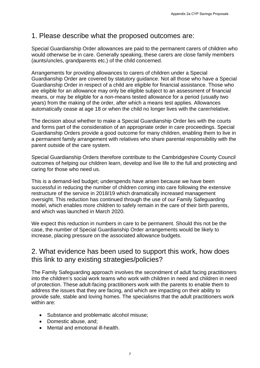# 1. Please describe what the proposed outcomes are:

Special Guardianship Order allowances are paid to the permanent carers of children who would otherwise be in care. Generally speaking, these carers are close family members (aunts/uncles, grandparents etc.) of the child concerned.

Arrangements for providing allowances to carers of children under a Special Guardianship Order are covered by statutory guidance. Not all those who have a Special Guardianship Order in respect of a child are eligible for financial assistance. Those who are eligible for an allowance may only be eligible subject to an assessment of financial means, or may be eligible for a non-means tested allowance for a period (usually two years) from the making of the order, after which a means test applies. Allowances automatically cease at age 18 or when the child no longer lives with the carer/relative.

The decision about whether to make a Special Guardianship Order lies with the courts and forms part of the consideration of an appropriate order in care proceedings. Special Guardianship Orders provide a good outcome for many children, enabling them to live in a permanent family arrangement with relatives who share parental responsibility with the parent outside of the care system.

Special Guardianship Orders therefore contribute to the Cambridgeshire County Council outcomes of helping our children learn, develop and live life to the full and protecting and caring for those who need us.

This is a demand-led budget; underspends have arisen because we have been successful in reducing the number of children coming into care following the extensive restructure of the service in 2018/19 which dramatically increased management oversight. This reduction has continued through the use of our Family Safeguarding model, which enables more children to safely remain in the care of their birth parents, and which was launched in March 2020.

We expect this reduction in numbers in care to be permanent. Should this not be the case, the number of Special Guardianship Order arrangements would be likely to increase, placing pressure on the associated allowance budgets.

## 2. What evidence has been used to support this work, how does this link to any existing strategies/policies?

The Family Safeguarding approach involves the secondment of adult facing practitioners into the children's social work teams who work with children in need and children in need of protection. These adult-facing practitioners work with the parents to enable them to address the issues that they are facing, and which are impacting on their ability to provide safe, stable and loving homes. The specialisms that the adult practitioners work within are:

- Substance and problematic alcohol misuse;
- Domestic abuse, and:
- Mental and emotional ill-health.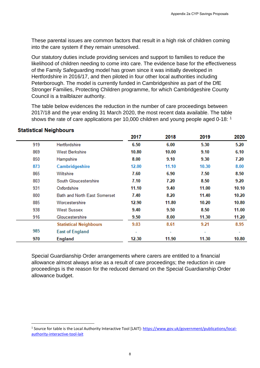These parental issues are common factors that result in a high risk of children coming into the care system if they remain unresolved.

Our statutory duties include providing services and support to families to reduce the likelihood of children needing to come into care. The evidence base for the effectiveness of the Family Safeguarding model has grown since it was initially developed in Hertfordshire in 2016/17, and then piloted in four other local authorities including Peterborough. The model is currently funded in Cambridgeshire as part of the DfE Stronger Families, Protecting Children programme, for which Cambridgeshire County Council is a trailblazer authority.

The table below evidences the reduction in the number of care proceedings between 2017/18 and the year ending 31 March 2020, the most recent data available. The table shows the rate of care applications per [1](#page-8-0)0,000 children and young people aged 0-18: <sup>1</sup>

|     |                                     | 2017  | 2018  | 2019  | 2020  |
|-----|-------------------------------------|-------|-------|-------|-------|
| 919 | Hertfordshire                       | 6.50  | 6.00  | 5.30  | 5.20  |
| 869 | <b>West Berkshire</b>               | 10.80 | 10.00 | 9.10  | 6.10  |
| 850 | Hampshire                           | 8.00  | 9.10  | 9.30  | 7.20  |
| 873 | Cambridgeshire                      | 12.00 | 11.10 | 10.30 | 8.00  |
| 865 | Wiltshire                           | 7.60  | 6.90  | 7.50  | 8.50  |
| 803 | South Gloucestershire               | 7.10  | 7.20  | 8.50  | 9.20  |
| 931 | Oxfordshire                         | 11.10 | 9.40  | 11.00 | 10.10 |
| 800 | <b>Bath and North East Somerset</b> | 7.40  | 8.20  | 11.40 | 10.20 |
| 885 | Worcestershire                      | 12.90 | 11.80 | 10.20 | 10.80 |
| 938 | <b>West Sussex</b>                  | 9.40  | 9.50  | 8.50  | 11.00 |
| 916 | Gloucestershire                     | 9.50  | 8.00  | 11.30 | 11.20 |
|     | <b>Statistical Neighbours</b>       | 9.03  | 8.61  | 9.21  | 8.95  |
| 985 | <b>East of England</b>              | ۰     |       | ۰     |       |
| 970 | <b>England</b>                      | 12.30 | 11.90 | 11.30 | 10.80 |

#### **Statistical Neighbours**

Special Guardianship Order arrangements where carers are entitled to a financial allowance almost always arise as a result of care proceedings; the reduction in care proceedings is the reason for the reduced demand on the Special Guardianship Order allowance budget.

<span id="page-8-0"></span><sup>&</sup>lt;sup>1</sup> Source for table is the Local Authority Interactive Tool [LAIT]: [https://www.gov.uk/government/publications/local](https://www.gov.uk/government/publications/local-authority-interactive-tool-lait)[authority-interactive-tool-lait](https://www.gov.uk/government/publications/local-authority-interactive-tool-lait)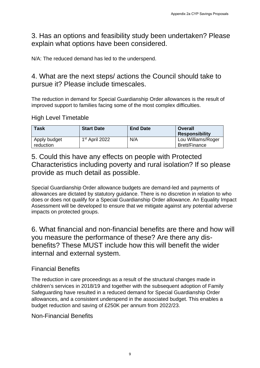3. Has an options and feasibility study been undertaken? Please explain what options have been considered.

N/A: The reduced demand has led to the underspend.

# 4. What are the next steps/ actions the Council should take to pursue it? Please include timescales.

The reduction in demand for Special Guardianship Order allowances is the result of improved support to families facing some of the most complex difficulties.

### High Level Timetable

| <b>Task</b>               | <b>Start Date</b>          | <b>End Date</b> | Overall<br><b>Responsibility</b>           |
|---------------------------|----------------------------|-----------------|--------------------------------------------|
| Apply budget<br>reduction | 1 <sup>st</sup> April 2022 | N/A             | Lou Williams/Roger<br><b>Brett/Finance</b> |

5. Could this have any effects on people with Protected Characteristics including poverty and rural isolation? If so please provide as much detail as possible.

Special Guardianship Order allowance budgets are demand-led and payments of allowances are dictated by statutory guidance. There is no discretion in relation to who does or does not qualify for a Special Guardianship Order allowance. An Equality Impact Assessment will be developed to ensure that we mitigate against any potential adverse impacts on protected groups.

6. What financial and non-financial benefits are there and how will you measure the performance of these? Are there any disbenefits? These MUST include how this will benefit the wider internal and external system.

### Financial Benefits

The reduction in care proceedings as a result of the structural changes made in children's services in 2018/19 and together with the subsequent adoption of Family Safeguarding have resulted in a reduced demand for Special Guardianship Order allowances, and a consistent underspend in the associated budget. This enables a budget reduction and saving of £250K per annum from 2022/23.

Non-Financial Benefits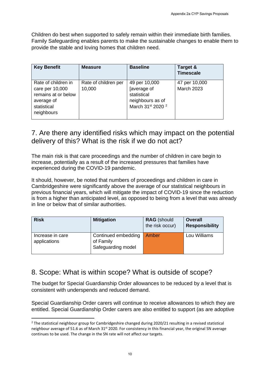Children do best when supported to safely remain within their immediate birth families. Family Safeguarding enables parents to make the sustainable changes to enable them to provide the stable and loving homes that children need.

| <b>Key Benefit</b>                                                                                       | <b>Measure</b>                                                                                                                                                                 | <b>Baseline</b>                             |                                                  | Target &<br><b>Timescale</b>            |  |
|----------------------------------------------------------------------------------------------------------|--------------------------------------------------------------------------------------------------------------------------------------------------------------------------------|---------------------------------------------|--------------------------------------------------|-----------------------------------------|--|
| Rate of children in<br>care per 10,000<br>remains at or below<br>average of<br>statistical<br>neighbours | Rate of children per<br>10,000                                                                                                                                                 | 49 per 10,000<br>[average of<br>statistical | neighbours as of<br>March 31st 2020 <sup>2</sup> | 47 per 10,000<br><b>March 2023</b>      |  |
|                                                                                                          | 7. Are there any identified risks which may impact on the potent<br>delivery of this? What is the risk if we do not act?                                                       |                                             |                                                  |                                         |  |
|                                                                                                          |                                                                                                                                                                                |                                             |                                                  |                                         |  |
|                                                                                                          |                                                                                                                                                                                |                                             |                                                  |                                         |  |
|                                                                                                          | increase, potentially as a result of the increased pressures that families have<br>experienced during the COVID-19 pandemic.                                                   |                                             |                                                  |                                         |  |
|                                                                                                          | It should, however, be noted that numbers of proceedings and children in care in                                                                                               |                                             |                                                  |                                         |  |
|                                                                                                          | Cambridgeshire were significantly above the average of our statistical neighbours in<br>previous financial years, which will mitigate the impact of COVID-19 since the reducti |                                             |                                                  |                                         |  |
|                                                                                                          | is from a higher than anticipated level, as opposed to being from a level that was alre<br>in line or below that of similar authorities.                                       |                                             |                                                  |                                         |  |
| The main risk is that care proceedings and the number of children in care begin to<br><b>Risk</b>        | <b>Mitigation</b>                                                                                                                                                              |                                             | <b>RAG</b> (should<br>the risk occur)            | <b>Overall</b><br><b>Responsibility</b> |  |
|                                                                                                          | Continued embedding<br>of Family<br>Safeguarding model                                                                                                                         |                                             | Amber                                            | Lou Williams                            |  |
|                                                                                                          |                                                                                                                                                                                |                                             |                                                  |                                         |  |
|                                                                                                          | 8. Scope: What is within scope? What is outside of scope?                                                                                                                      |                                             |                                                  |                                         |  |
|                                                                                                          | The budget for Special Guardianship Order allowances to be reduced by a level that                                                                                             |                                             |                                                  |                                         |  |
| Increase in care<br>applications                                                                         | consistent with underspends and reduced demand.                                                                                                                                |                                             |                                                  |                                         |  |

# 7. Are there any identified risks which may impact on the potential delivery of this? What is the risk if we do not act?

| <b>Risk</b>                      | <b>Mitigation</b>                                      | <b>RAG</b> (should<br>the risk occur) | <b>Overall</b><br><b>Responsibility</b> |
|----------------------------------|--------------------------------------------------------|---------------------------------------|-----------------------------------------|
| Increase in care<br>applications | Continued embedding<br>of Family<br>Safeguarding model | Amber                                 | Lou Williams                            |

# 8. Scope: What is within scope? What is outside of scope?

<span id="page-10-0"></span> $<sup>2</sup>$  The statistical neighbour group for Cambridgeshire changed during 2020/21 resulting in a revised statistical</sup> neighbour average of 51.6 as of March  $31<sup>st</sup> 2020$ . For consistency in this financial year, the original SN average continues to be used. The change in the SN rate will not affect our targets.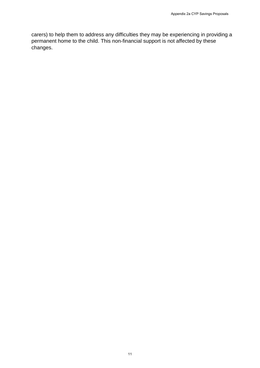carers) to help them to address any difficulties they may be experiencing in providing a permanent home to the child. This non-financial support is not affected by these changes. Appendix 2a CYP Savings Proposals<br>Litties they may be experiencing in providing<br>ancial support is not affected by these<br><sup>11</sup>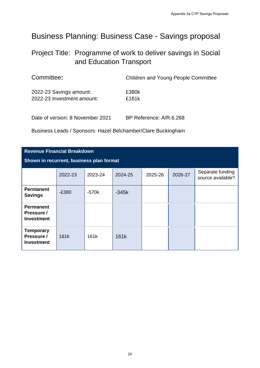# Business Planning: Business Case - Savings proposal

# Project Title:Programme of work to deliver savings in Social and Education Transport

| Committee:                                            | <b>Children and Young People Committee</b> |
|-------------------------------------------------------|--------------------------------------------|
| 2022-23 Savings amount:<br>2022-23 Investment amount: | £380k<br>£161 $k$                          |
| Date of version: 8 November 2021                      | BP Reference: A/R.6.268                    |

#### **Revenue Financial Breakdown**

|                                                                                          |                                                          |                                  |                                                              |                         |         | Appendix 2a CYP Savings Proposals     |
|------------------------------------------------------------------------------------------|----------------------------------------------------------|----------------------------------|--------------------------------------------------------------|-------------------------|---------|---------------------------------------|
| Business Planning: Business Case - Savings proposal                                      |                                                          |                                  |                                                              |                         |         |                                       |
| Project Title: Programme of work to deliver savings in Social<br>and Education Transport |                                                          |                                  |                                                              |                         |         |                                       |
|                                                                                          | Committee:<br><b>Children and Young People Committee</b> |                                  |                                                              |                         |         |                                       |
| 2022-23 Savings amount:<br>£380k<br>2022-23 Investment amount:<br>£161k                  |                                                          |                                  |                                                              |                         |         |                                       |
|                                                                                          |                                                          | Date of version: 8 November 2021 |                                                              | BP Reference: A/R.6.268 |         |                                       |
|                                                                                          |                                                          |                                  | Business Leads / Sponsors: Hazel Belchamber/Clare Buckingham |                         |         |                                       |
| <b>Revenue Financial Breakdown</b>                                                       |                                                          |                                  |                                                              |                         |         |                                       |
| Shown in recurrent, business plan format                                                 |                                                          |                                  |                                                              |                         |         |                                       |
|                                                                                          | 2022-23                                                  | 2023-24                          | 2024-25                                                      | 2025-26                 | 2026-27 | Separate funding<br>source available? |
| <b>Permanent</b><br><b>Savings</b>                                                       | $-E380$                                                  | $-570k$                          | $-345k$                                                      |                         |         |                                       |
| <b>Permanent</b><br>Pressure /<br><b>Investment</b>                                      |                                                          |                                  |                                                              |                         |         |                                       |
| <b>Temporary</b><br>Pressure /<br><b>Investment</b>                                      | 161k                                                     | 161k                             | 161k                                                         |                         |         |                                       |
|                                                                                          |                                                          |                                  |                                                              |                         |         |                                       |
|                                                                                          |                                                          |                                  |                                                              |                         |         |                                       |
|                                                                                          |                                                          |                                  |                                                              |                         |         |                                       |
|                                                                                          |                                                          |                                  |                                                              |                         |         |                                       |
|                                                                                          |                                                          |                                  |                                                              |                         |         |                                       |
|                                                                                          |                                                          |                                  |                                                              |                         |         |                                       |
|                                                                                          |                                                          |                                  | $20\,$                                                       |                         |         |                                       |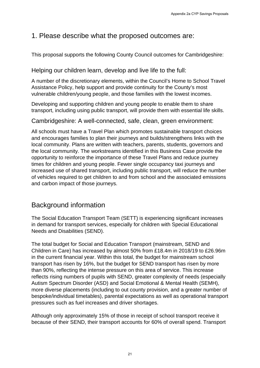# 1. Please describe what the proposed outcomes are:

This proposal supports the following County Council outcomes for Cambridgeshire:

### Helping our children learn, develop and live life to the full:

A number of the discretionary elements, within the Council's Home to School Travel Assistance Policy, help support and provide continuity for the County's most vulnerable children/young people, and those families with the lowest incomes.

Developing and supporting children and young people to enable them to share transport, including using public transport, will provide them with essential life skills.

### Cambridgeshire: A well-connected, safe, clean, green environment:

All schools must have a Travel Plan which promotes sustainable transport choices and encourages families to plan their journeys and builds/strengthens links with the local community. Plans are written with teachers, parents, students, governors and the local community. The workstreams identified in this Business Case provide the opportunity to reinforce the importance of these Travel Plans and reduce journey times for children and young people. Fewer single occupancy taxi journeys and increased use of shared transport, including public transport, will reduce the number of vehicles required to get children to and from school and the associated emissions and carbon impact of those journeys.

# Background information

The Social Education Transport Team (SETT) is experiencing significant increases in demand for transport services, especially for children with Special Educational Needs and Disabilities (SEND).

The total budget for Social and Education Transport (mainstream, SEND and Children in Care) has increased by almost 50% from £18.4m in 2018/19 to £26.96m in the current financial year. Within this total, the budget for mainstream school transport has risen by 16%, but the budget for SEND transport has risen by more than 90%, reflecting the intense pressure on this area of service. This increase reflects rising numbers of pupils with SEND, greater complexity of needs (especially Autism Spectrum Disorder (ASD) and Social Emotional & Mental Health (SEMH), more diverse placements (including to out county provision, and a greater number of bespoke/individual timetables), parental expectations as well as operational transport pressures such as fuel increases and driver shortages. Appendix 2a CYP Savings Proposals<br>
Appendix 2a CYP Savings Proposals<br>
proposed Outcomes for Cambridgeshire:<br>
and live life to the full:<br>
utihin the Council's Home to School Travel<br>
de continuity for the County's most<br>
see

Although only approximately 15% of those in receipt of school transport receive it because of their SEND, their transport accounts for 60% of overall spend. Transport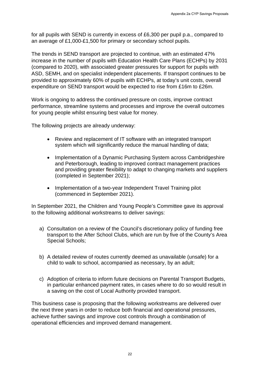for all pupils with SEND is currently in excess of £6,300 per pupil p.a., compared to an average of £1,000-£1,500 for primary or secondary school pupils.

The trends in SEND transport are projected to continue, with an estimated 47% increase in the number of pupils with Education Health Care Plans (ECHPs) by 2031 (compared to 2020), with associated greater pressures for support for pupils with ASD, SEMH, and on specialist independent placements. If transport continues to be provided to approximately 60% of pupils with ECHPs, at today's unit costs, overall expenditure on SEND transport would be expected to rise from £16m to £26m. Appendix 2a CYP Savings Proposals<br>ess of £6,300 per pupil p.a., compared to<br>or secondary school pupils.<br>Add to continue, with an estimated 47%<br>cation Health Care Plans (ECHPs by 2031<br>ter pressures for support for pupils wi

Work is ongoing to address the continued pressure on costs, improve contract performance, streamline systems and processes and improve the overall outcomes for young people whilst ensuring best value for money.

The following projects are already underway:

- Review and replacement of IT software with an integrated transport system which will significantly reduce the manual handling of data;
- Implementation of a Dynamic Purchasing System across Cambridgeshire and Peterborough, leading to improved contract management practices and providing greater flexibility to adapt to changing markets and suppliers (completed in September 2021);
- Implementation of a two-year Independent Travel Training pilot (commenced in September 2021).

In September 2021, the Children and Young People's Committee gave its approval to the following additional workstreams to deliver savings:

- a) Consultation on a review of the Council's discretionary policy of funding free transport to the After School Clubs, which are run by five of the County's Area Special Schools;
- b) A detailed review of routes currently deemed as unavailable (unsafe) for a child to walk to school, accompanied as necessary, by an adult;
- c) Adoption of criteria to inform future decisions on Parental Transport Budgets, in particular enhanced payment rates, in cases where to do so would result in a saving on the cost of Local Authority provided transport.

This business case is proposing that the following workstreams are delivered over the next three years in order to reduce both financial and operational pressures, achieve further savings and improve cost controls through a combination of operational efficiencies and improved demand management.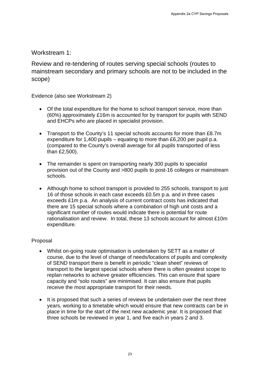### Workstream 1:

Review and re-tendering of routes serving special schools (routes to mainstream secondary and primary schools are not to be included in the scope)

Evidence (also see Workstream 2)

- Of the total expenditure for the home to school transport service, more than (60%) approximately £16m is accounted for by transport for pupils with SEND and EHCPs who are placed in specialist provision.
- Transport to the County's 11 special schools accounts for more than £8.7m expenditure for 1,400 pupils – equating to more than £6,200 per pupil p.a. (compared to the County's overall average for all pupils transported of less than £2,500).
- The remainder is spent on transporting nearly 300 pupils to specialist provision out of the County and >800 pupils to post-16 colleges or mainstream schools.
- Although home to school transport is provided to 255 schools, transport to just 16 of those schools in each case exceeds £0.5m p.a. and in three cases exceeds £1m p.a. An analysis of current contract costs has indicated that there are 15 special schools where a combination of high unit costs and a significant number of routes would indicate there is potential for route rationalisation and review. In total, these 13 schools account for almost £10m expenditure. Appendix 2a CYP Savings Proposals<br>
Appendix 2a CYP Savings Proposals<br>
Brook Schools are not to be included in the<br>
nunted for by transport for pupils with SEND<br>
multed for by transport for pupils with SEND<br>
also choose acc

#### Proposal

- Whilst on-going route optimisation is undertaken by SETT as a matter of course, due to the level of change of needs/locations of pupils and complexity of SEND transport there is benefit in periodic "clean sheet" reviews of transport to the largest special schools where there is often greatest scope to replan networks to achieve greater efficiencies. This can ensure that spare capacity and "solo routes" are minimised. It can also ensure that pupils receive the most appropriate transport for their needs.
- It is proposed that such a series of reviews be undertaken over the next three years, working to a timetable which would ensure that new contracts can be in place in time for the start of the next new academic year. It is proposed that three schools be reviewed in year 1, and five each in years 2 and 3.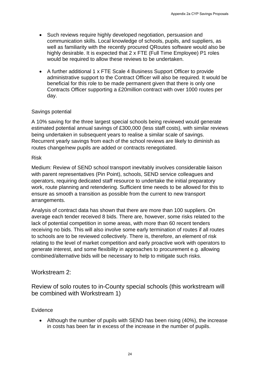- Such reviews require highly developed negotiation, persuasion and communication skills. Local knowledge of schools, pupils, and suppliers, as well as familiarity with the recently procured QRoutes software would also be highly desirable. It is expected that 2 x FTE (Full Time Employee) P1 roles would be required to allow these reviews to be undertaken.
- A further additional 1 x FTE Scale 4 Business Support Officer to provide administrative support to the Contract Officer will also be required. It would be beneficial for this role to be made permanent given that there is only one Contracts Officer supporting a £20million contract with over 1000 routes per day.

#### Savings potential

A 10% saving for the three largest special schools being reviewed would generate estimated potential annual savings of £300,000 (less staff costs), with similar reviews being undertaken in subsequent years to realise a similar scale of savings. Recurrent yearly savings from each of the school reviews are likely to diminish as routes change/new pupils are added or contracts renegotiated.

#### Risk

Medium: Review of SEND school transport inevitably involves considerable liaison with parent representatives (Pin Point), schools, SEND service colleagues and operators, requiring dedicated staff resource to undertake the initial preparatory work, route planning and retendering. Sufficient time needs to be allowed for this to ensure as smooth a transition as possible from the current to new transport arrangements.

Analysis of contract data has shown that there are more than 100 suppliers. On average each tender received 8 bids. There are, however, some risks related to the lack of potential competition in some areas, with more than 60 recent tenders receiving no bids. This will also involve some early termination of routes if all routes to schools are to be reviewed collectively. There is, therefore, an element of risk relating to the level of market competition and early proactive work with operators to generate interest, and some flexibility in approaches to procurement e.g. allowing combined/alternative bids will be necessary to help to mitigate such risks. Appendix 2a CYP Savings Proposals<br>
Appendix 2a CYP Savings Proposals<br>
ped of schools, pupils, and suppliers, as<br>
procured QRoutes software would also be<br>  $2 \times FIF$  (Full Time Employee) P1 roles<br>
aviews to be undertaken.<br>
4 B

#### Workstream 2:

Review of solo routes to in-County special schools (this workstream will be combined with Workstream 1)

#### Evidence

• Although the number of pupils with SEND has been rising (40%), the increase in costs has been far in excess of the increase in the number of pupils.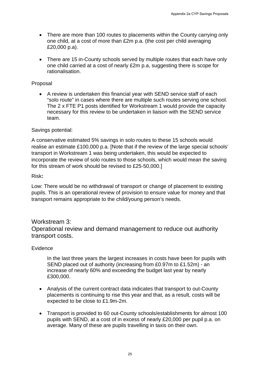- There are more than 100 routes to placements within the County carrying only one child, at a cost of more than £2m p.a. (the cost per child averaging £20,000 p.a).
- There are 15 in-County schools served by multiple routes that each have only one child carried at a cost of nearly £2m p.a, suggesting there is scope for rationalisation.

#### Proposal

• A review is undertaken this financial year with SEND service staff of each "solo route" in cases where there are multiple such routes serving one school. The 2 x FTE P1 posts identified for Workstream 1 would provide the capacity necessary for this review to be undertaken in liaison with the SEND service team.

#### Savings potential:

A conservative estimated 5% savings in solo routes to these 15 schools would realise an estimate £100,000 p.a. [Note that if the review of the large special schools' transport in Workstream 1 was being undertaken, this would be expected to incorporate the review of solo routes to those schools, which would mean the saving for this stream of work should be revised to £25-50,000.] Appendix 2a CYP Savings Proposals<br>placements within the County carrying only<br>m p.a. (the cost per child averaging<br>rved by multiple routes that each have only<br>f2m p.a. suggesting there is scope for<br>al year with SEND service

#### Risk**:**

Low: There would be no withdrawal of transport or change of placement to existing pupils. This is an operational review of provision to ensure value for money and that transport remains appropriate to the child/young person's needs.

#### Workstream 3:

Operational review and demand management to reduce out authority transport costs.

#### Evidence

In the last three years the largest increases in costs have been for pupils with SEND placed out of authority (increasing from £0.97m to £1.52m) - an increase of nearly 60% and exceeding the budget last year by nearly £300,000.

- Analysis of the current contract data indicates that transport to out-County placements is continuing to rise this year and that, as a result, costs will be expected to be close to £1.9m-2m.
- Transport is provided to 60 out-County schools/establishments for almost 100 pupils with SEND, at a cost of in excess of nearly £20,000 per pupil p.a. on average. Many of these are pupils travelling in taxis on their own.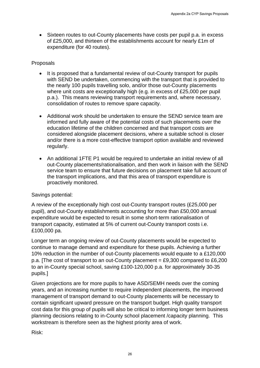• Sixteen routes to out-County placements have costs per pupil p.a. in excess of £25,000, and thirteen of the establishments account for nearly £1m of expenditure (for 40 routes).

#### Proposals

- It is proposed that a fundamental review of out-County transport for pupils with SEND be undertaken, commencing with the transport that is provided to the nearly 100 pupils travelling solo, and/or those out-County placements where unit costs are exceptionally high (e.g. in excess of £25,000 per pupil p.a.). This means reviewing transport requirements and, where necessary, consolidation of routes to remove spare capacity.
- Additional work should be undertaken to ensure the SEND service team are informed and fully aware of the potential costs of such placements over the education lifetime of the children concerned and that transport costs are considered alongside placement decisions, where a suitable school is closer and/or there is a more cost-effective transport option available and reviewed regularly.
- An additional 1FTE P1 would be required to undertake an initial review of all out-County placements/rationalisation, and then work in liaison with the SEND service team to ensure that future decisions on placement take full account of the transport implications, and that this area of transport expenditure is proactively monitored.

#### Savings potential:

A review of the exceptionally high cost out-County transport routes (£25,000 per pupil), and out-County establishments accounting for more than £50,000 annual expenditure would be expected to result in some short-term rationalisation of transport capacity, estimated at 5% of current out-County transport costs i.e. £100,000 pa.

Longer term an ongoing review of out-County placements would be expected to continue to manage demand and expenditure for these pupils. Achieving a further 10% reduction in the number of out-County placements would equate to a £120,000 p.a. [The cost of transport to an out-County placement = £9,300 compared to £6,200 to an in-County special school, saving £100-120,000 p.a. for approximately 30-35 pupils.]

Given projections are for more pupils to have ASD/SEMH needs over the coming years, and an increasing number to require independent placements, the improved management of transport demand to out-County placements will be necessary to contain significant upward pressure on the transport budget. High quality transport cost data for this group of pupils will also be critical to informing longer term business planning decisions relating to in-County school placement /capacity planning. This workstream is therefore seen as the highest priority area of work. Appendix 2a CYP Savings Proposals<br>
ments have costs per pupil p.a. in excess<br>
ments have costs per pupil p.a. in excess<br>
and plist the transport that is provided to<br>
b, and/or those out-County transport for pupils<br>
point e

Risk: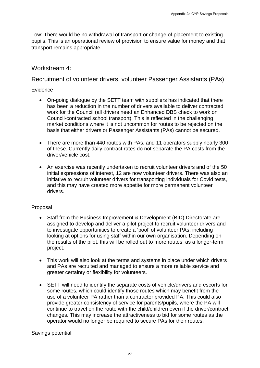Low: There would be no withdrawal of transport or change of placement to existing pupils. This is an operational review of provision to ensure value for money and that transport remains appropriate.

### Workstream 4:

### Recruitment of volunteer drivers, volunteer Passenger Assistants (PAs)

#### **Evidence**

- On-going dialogue by the SETT team with suppliers has indicated that there has been a reduction in the number of drivers available to deliver contracted work for the Council (all drivers need an Enhanced DBS check to work on Council-contracted school transport). This is reflected in the challenging market conditions where it is not uncommon for routes to be rejected on the basis that either drivers or Passenger Assistants (PAs) cannot be secured.
- There are more than 440 routes with PAs, and 11 operators supply nearly 300 of these. Currently daily contract rates do not separate the PA costs from the driver/vehicle cost.
- An exercise was recently undertaken to recruit volunteer drivers and of the 50 initial expressions of interest, 12 are now volunteer drivers. There was also an initiative to recruit volunteer drivers for transporting individuals for Covid tests, and this may have created more appetite for more permanent volunteer drivers.

#### Proposal

- Staff from the Business Improvement & Development (BID) Directorate are assigned to develop and deliver a pilot project to recruit volunteer drivers and to investigate opportunities to create a 'pool' of volunteer PAs, including looking at options for using staff within our own organisation. Depending on the results of the pilot, this will be rolled out to more routes, as a longer-term project.
- This work will also look at the terms and systems in place under which drivers and PAs are recruited and managed to ensure a more reliable service and greater certainty or flexibility for volunteers.
- SETT will need to identify the separate costs of vehicle/drivers and escorts for some routes, which could identify those routes which may benefit from the use of a volunteer PA rather than a contractor provided PA. This could also provide greater consistency of service for parents/pupils, where the PA will continue to travel on the route with the child/children even if the driver/contract changes. This may increase the attractiveness to bid for some routes as the operator would no longer be required to secure PAs for their routes. Aspendix 2a CYP Savings Proposals<br>
Aspendix 2a CYP Savings Proposals<br>
Signotion to ensure value for money and that<br>
Ilunteer Passenger Assistantis (PAs)<br>
Ilunteer Passenger Assistantis (PAs)<br>
11. This is reflected in the c

Savings potential: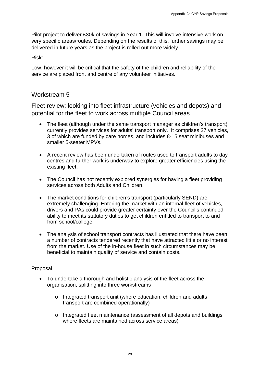Pilot project to deliver £30k of savings in Year 1. This will involve intensive work on very specific areas/routes. Depending on the results of this, further savings may be delivered in future years as the project is rolled out more widely.

Risk:

Low, however it will be critical that the safety of the children and reliability of the service are placed front and centre of any volunteer initiatives.

### Workstream 5

Fleet review: looking into fleet infrastructure (vehicles and depots) and potential for the fleet to work across multiple Council areas

- The fleet (although under the same transport manager as children's transport) currently provides services for adults' transport only. It comprises 27 vehicles, 3 of which are funded by care homes, and includes 8-15 seat minibuses and smaller 5-seater MPVs.
- A recent review has been undertaken of routes used to transport adults to day centres and further work is underway to explore greater efficiencies using the existing fleet.
- The Council has not recently explored synergies for having a fleet providing services across both Adults and Children.
- The market conditions for children's transport (particularly SEND) are extremely challenging. Entering the market with an internal fleet of vehicles, drivers and PAs could provide greater certainty over the Council's continued ability to meet its statutory duties to get children entitled to transport to and from school/college. Appendix 2a CYP Savings Proposals<br>
Appendix 2a CYP Savings Proposals<br>
The results of this, further savings may be<br>
colled out more widely.<br>
Ety of the children and reliability of the<br>
volunteer initiatives.<br>
Eturcture (veh
- The analysis of school transport contracts has illustrated that there have been a number of contracts tendered recently that have attracted little or no interest from the market. Use of the in-house fleet in such circumstances may be beneficial to maintain quality of service and contain costs.

#### Proposal

- To undertake a thorough and holistic analysis of the fleet across the organisation, splitting into three workstreams
	- o Integrated transport unit (where education, children and adults transport are combined operationally)
	- o Integrated fleet maintenance (assessment of all depots and buildings where fleets are maintained across service areas)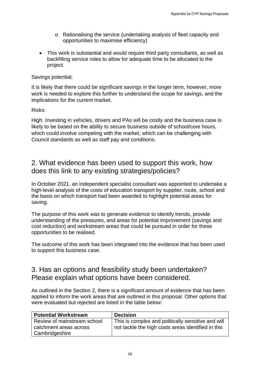- o Rationalising the service (undertaking analysis of fleet capacity and opportunities to maximise efficiency)
- This work is substantial and would require third party consultants, as well as backfilling service roles to allow for adequate time to be allocated to the project.

#### Savings potential:

# 2. What evidence has been used to support this work, how does this link to any existing strategies/policies?

## 3. Has an options and feasibility study been undertaken? Please explain what options have been considered.

|                                                                         | Appendix 2a CYP Savings Proposals                                                                                                                                                                                                                              |
|-------------------------------------------------------------------------|----------------------------------------------------------------------------------------------------------------------------------------------------------------------------------------------------------------------------------------------------------------|
| $\circ$<br>opportunities to maximise efficiency)                        | Rationalising the service (undertaking analysis of fleet capacity and                                                                                                                                                                                          |
| $\bullet$<br>project.                                                   | This work is substantial and would require third party consultants, as well as<br>backfilling service roles to allow for adequate time to be allocated to the                                                                                                  |
| Savings potential:                                                      |                                                                                                                                                                                                                                                                |
| implications for the current market.                                    | It is likely that there could be significant savings in the longer term, however, more<br>work is needed to explore this further to understand the scope for savings, and the                                                                                  |
| Risks:                                                                  |                                                                                                                                                                                                                                                                |
| Council standards as well as staff pay and conditions.                  | High. Investing in vehicles, drivers and PAs will be costly and the business case is<br>likely to be based on the ability to secure business outside of school/core hours,<br>which could involve competing with the market, which can be challenging with     |
| does this link to any existing strategies/policies?                     | 2. What evidence has been used to support this work, how                                                                                                                                                                                                       |
| saving.                                                                 | In October 2021, an independent specialist consultant was appointed to undertake a<br>high-level analysis of the costs of education transport by supplier, route, school and<br>the basis on which transport had been awarded to highlight potential areas for |
| opportunities to be realised.                                           | The purpose of this work was to generate evidence to identify trends, provide<br>understanding of the pressures, and areas for potential improvement (savings and<br>cost reduction) and workstream areas that could be pursued in order for these             |
| to support this business case.                                          | The outcome of this work has been integrated into the evidence that has been used                                                                                                                                                                              |
| Please explain what options have been considered.                       | 3. Has an options and feasibility study been undertaken?                                                                                                                                                                                                       |
| were evaluated but rejected are listed in the table below:              | As outlined in the Section 2, there is a significant amount of evidence that has been<br>applied to inform the work areas that are outlined in this proposal. Other options that                                                                               |
| <b>Potential Workstream</b>                                             | <b>Decision</b>                                                                                                                                                                                                                                                |
| Review of mainstream school<br>catchment areas across<br>Cambridgeshire | This is complex and politically sensitive and will<br>not tackle the high costs areas identified in this                                                                                                                                                       |
|                                                                         |                                                                                                                                                                                                                                                                |
|                                                                         | 29                                                                                                                                                                                                                                                             |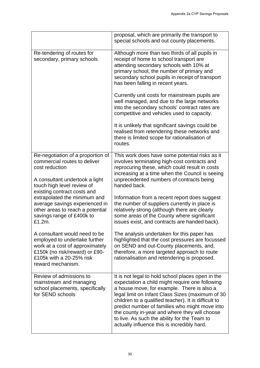|                                                                                                                                                                                      | Appendix 2a CYP Savings Proposals                                                                                                                                                                                                                                                                                                                                                                                                                                |
|--------------------------------------------------------------------------------------------------------------------------------------------------------------------------------------|------------------------------------------------------------------------------------------------------------------------------------------------------------------------------------------------------------------------------------------------------------------------------------------------------------------------------------------------------------------------------------------------------------------------------------------------------------------|
|                                                                                                                                                                                      |                                                                                                                                                                                                                                                                                                                                                                                                                                                                  |
|                                                                                                                                                                                      | proposal, which are primarily the transport to<br>special schools and out county placements.                                                                                                                                                                                                                                                                                                                                                                     |
| Re-tendering of routes for<br>secondary, primary schools                                                                                                                             | Although more than two thirds of all pupils in<br>receipt of home to school transport are<br>attending secondary schools with 10% at<br>primary school, the number of primary and<br>secondary school pupils in receipt of transport<br>has been falling in recent years.                                                                                                                                                                                        |
|                                                                                                                                                                                      | Currently unit costs for mainstream pupils are<br>well managed, and due to the large networks<br>into the secondary schools' contract rates are<br>competitive and vehicles used to capacity.                                                                                                                                                                                                                                                                    |
|                                                                                                                                                                                      | It is unlikely that significant savings could be<br>realised from retendering these networks and<br>there is limited scope for rationalisation of<br>routes.                                                                                                                                                                                                                                                                                                     |
| Re-negotiation of a proportion of<br>commercial routes to deliver<br>cost reduction<br>A consultant undertook a light<br>touch high level review of                                  | This work does have some potential risks as it<br>involves terminating high-cost contracts and<br>reprocuring these, which could result in costs<br>increasing at a time when the Council is seeing<br>unprecedented numbers of contracts being<br>handed back.                                                                                                                                                                                                  |
| existing contract costs and<br>extrapolated the minimum and<br>average savings experienced in<br>other areas to reach a potential<br>savings range of £400k to<br>£1.2m.             | Information from a recent report does suggest<br>the number of suppliers currently in place is<br>relatively strong (although there are clearly<br>some areas of the County where significant<br>issues exist, and contracts are handed back).                                                                                                                                                                                                                   |
| A consultant would need to be<br>employed to undertake further<br>work at a cost of approximately<br>£150k (no risk/reward) or £90-<br>£105k with a 20-25% risk<br>reward mechanism. | The analysis undertaken for this paper has<br>highlighted that the cost pressures are focussed<br>on SEND and out-County placements, and,<br>therefore, a more targeted approach to route<br>rationalisation and retendering is proposed.                                                                                                                                                                                                                        |
| Review of admissions to<br>mainstream and managing<br>school placements, specifically<br>for SEND schools                                                                            | It is not legal to hold school places open in the<br>expectation a child might require one following<br>a house move, for example. There is also a<br>legal limit on Infant Class Sizes (maximum of 30<br>children to a qualified teacher). It is difficult to<br>predict number of families who might move into<br>the county in-year and where they will choose<br>to live. As such the ability for the Team to<br>actually influence this is incredibly hard. |
|                                                                                                                                                                                      | 30                                                                                                                                                                                                                                                                                                                                                                                                                                                               |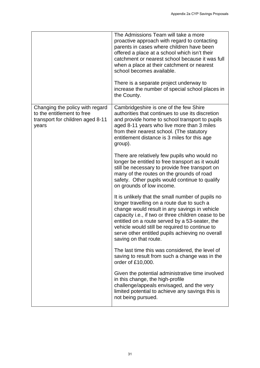|                                                                                                            | Appendix 2a CYP Savings Proposals                                                                                                                                                                                                                                                                                                                                                                                             |
|------------------------------------------------------------------------------------------------------------|-------------------------------------------------------------------------------------------------------------------------------------------------------------------------------------------------------------------------------------------------------------------------------------------------------------------------------------------------------------------------------------------------------------------------------|
|                                                                                                            | The Admissions Team will take a more<br>proactive approach with regard to contacting<br>parents in cases where children have been<br>offered a place at a school which isn't their<br>catchment or nearest school because it was full<br>when a place at their catchment or nearest<br>school becomes available.<br>There is a separate project underway to<br>increase the number of special school places in<br>the County. |
| Changing the policy with regard<br>to the entitlement to free<br>transport for children aged 8-11<br>years | Cambridgeshire is one of the few Shire<br>authorities that continues to use its discretion<br>and provide home to school transport to pupils<br>aged 8-11 years who live more than 3 miles<br>from their nearest school. (The statutory<br>entitlement distance is 3 miles for this age<br>group).                                                                                                                            |
|                                                                                                            | There are relatively few pupils who would no<br>longer be entitled to free transport as it would<br>still be necessary to provide free transport on<br>many of the routes on the grounds of road<br>safety. Other pupils would continue to qualify<br>on grounds of low income.                                                                                                                                               |
|                                                                                                            | It is unlikely that the small number of pupils no<br>longer travelling on a route due to such a<br>change would result in any savings in vehicle<br>capacity i.e., if two or three children cease to be<br>entitled on a route served by a 53-seater, the<br>vehicle would still be required to continue to<br>serve other entitled pupils achieving no overall<br>saving on that route.                                      |
|                                                                                                            | The last time this was considered, the level of<br>saving to result from such a change was in the<br>order of £10,000.                                                                                                                                                                                                                                                                                                        |
|                                                                                                            | Given the potential administrative time involved<br>in this change, the high-profile<br>challenge/appeals envisaged, and the very<br>limited potential to achieve any savings this is<br>not being pursued.                                                                                                                                                                                                                   |
|                                                                                                            |                                                                                                                                                                                                                                                                                                                                                                                                                               |
|                                                                                                            | 31                                                                                                                                                                                                                                                                                                                                                                                                                            |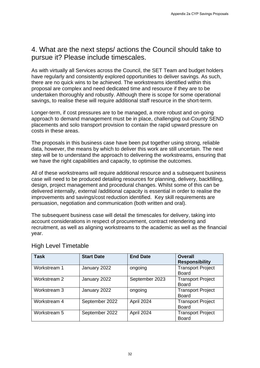# 4. What are the next steps/ actions the Council should take to pursue it? Please include timescales.

|                                                                               |                   |                                                                                                                                                                                                                                                                                                                                          | Appendix 2a CYP Savings Proposals                                                                                                                                             |
|-------------------------------------------------------------------------------|-------------------|------------------------------------------------------------------------------------------------------------------------------------------------------------------------------------------------------------------------------------------------------------------------------------------------------------------------------------------|-------------------------------------------------------------------------------------------------------------------------------------------------------------------------------|
|                                                                               |                   |                                                                                                                                                                                                                                                                                                                                          |                                                                                                                                                                               |
| pursue it? Please include timescales.                                         |                   |                                                                                                                                                                                                                                                                                                                                          | 4. What are the next steps/ actions the Council should take to                                                                                                                |
|                                                                               |                   | there are no quick wins to be achieved. The workstreams identified within this<br>proposal are complex and need dedicated time and resource if they are to be<br>undertaken thoroughly and robustly. Although there is scope for some operational<br>savings, to realise these will require additional staff resource in the short-term. | As with virtually all Services across the Council, the SET Team and budget holders<br>have regularly and consistently explored opportunities to deliver savings. As such,     |
| costs in these areas.                                                         |                   | Longer-term, if cost pressures are to be managed, a more robust and on-going<br>placements and solo transport provision to contain the rapid upward pressure on                                                                                                                                                                          | approach to demand management must be in place, challenging out-County SEND                                                                                                   |
|                                                                               |                   | The proposals in this business case have been put together using strong, reliable<br>we have the right capabilities and capacity, to optimise the outcomes.                                                                                                                                                                              | data, however, the means by which to deliver this work are still uncertain. The next<br>step will be to understand the approach to delivering the workstreams, ensuring that  |
| design, project management and procedural changes. Whilst some of this can be |                   | delivered internally, external /additional capacity is essential in order to realise the<br>improvements and savings/cost reduction identified. Key skill requirements are<br>persuasion, negotiation and communication (both written and oral).                                                                                         | All of these workstreams will require additional resource and a subsequent business<br>case will need to be produced detailing resources for planning, delivery, backfilling, |
| year.                                                                         |                   | The subsequent business case will detail the timescales for delivery, taking into<br>account considerations in respect of procurement, contract retendering and                                                                                                                                                                          | recruitment, as well as aligning workstreams to the academic as well as the financial                                                                                         |
| <b>High Level Timetable</b>                                                   |                   |                                                                                                                                                                                                                                                                                                                                          |                                                                                                                                                                               |
| <b>Task</b>                                                                   | <b>Start Date</b> | <b>End Date</b>                                                                                                                                                                                                                                                                                                                          | <b>Overall</b><br><b>Responsibility</b>                                                                                                                                       |
| Workstream 1                                                                  | January 2022      | ongoing                                                                                                                                                                                                                                                                                                                                  | <b>Transport Project</b><br><b>Board</b>                                                                                                                                      |
| Workstream 2                                                                  | January 2022      | September 2023                                                                                                                                                                                                                                                                                                                           | <b>Transport Project</b><br><b>Board</b>                                                                                                                                      |
| Workstream 3                                                                  | January 2022      | ongoing                                                                                                                                                                                                                                                                                                                                  | <b>Transport Project</b><br><b>Board</b>                                                                                                                                      |
| Workstream 4                                                                  | September 2022    | April 2024                                                                                                                                                                                                                                                                                                                               | <b>Transport Project</b><br><b>Board</b>                                                                                                                                      |
| Workstream 5                                                                  | September 2022    | April 2024                                                                                                                                                                                                                                                                                                                               | <b>Transport Project</b><br><b>Board</b>                                                                                                                                      |
|                                                                               |                   |                                                                                                                                                                                                                                                                                                                                          |                                                                                                                                                                               |
|                                                                               |                   | 32                                                                                                                                                                                                                                                                                                                                       |                                                                                                                                                                               |

### High Level Timetable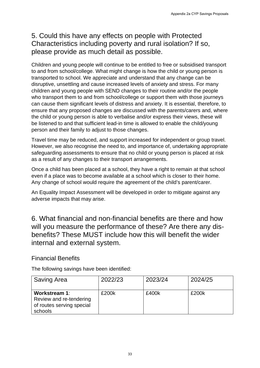# 5. Could this have any effects on people with Protected Characteristics including poverty and rural isolation? If so, please provide as much detail as possible.

Children and young people will continue to be entitled to free or subsidised transport to and from school/college. What might change is how the child or young person is transported to school. We appreciate and understand that any change can be disruptive, unsettling and cause increased levels of anxiety and stress. For many children and young people with SEND changes to their routine and/or the people who transport them to and from school/college or support them with those journeys can cause them significant levels of distress and anxiety. It is essential, therefore, to ensure that any proposed changes are discussed with the parents/carers and, where the child or young person is able to verbalise and/or express their views, these will be listened to and that sufficient lead-in time is allowed to enable the child/young person and their family to adjust to those changes. Appendix 2a CYP Savings Proposals<br>
Appendix 2a CYP Savings Proposals<br>
Since Somission Critical Solution? If so,<br>
so possible.<br>
Since entited to free or subsidisted transport<br>
induces it and the child or young person is<br>
un

Travel time may be reduced, and support increased for independent or group travel. However, we also recognise the need to, and importance of, undertaking appropriate safeguarding assessments to ensure that no child or young person is placed at risk as a result of any changes to their transport arrangements.

Once a child has been placed at a school, they have a right to remain at that school even if a place was to become available at a school which is closer to their home. Any change of school would require the agreement of the child's parent/carer.

An Equality Impact Assessment will be developed in order to mitigate against any adverse impacts that may arise.

6. What financial and non-financial benefits are there and how will you measure the performance of these? Are there any disbenefits? These MUST include how this will benefit the wider internal and external system.

### Financial Benefits

The following savings have been identified:

| <b>Saving Area</b>                                                                      | 2022/23 | 2023/24 | 2024/25 |
|-----------------------------------------------------------------------------------------|---------|---------|---------|
| <b>Workstream 1:</b><br>Review and re-tendering<br>of routes serving special<br>schools | £200k   | £400k   | £200k   |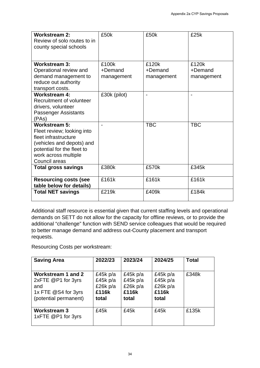| <b>Workstream 3:</b>                                                                                                                                                                                                                                                                                                                                                                                                                                                                                          | £100k                                                       |                                                    | £120k                                                       | £120k                 |
|---------------------------------------------------------------------------------------------------------------------------------------------------------------------------------------------------------------------------------------------------------------------------------------------------------------------------------------------------------------------------------------------------------------------------------------------------------------------------------------------------------------|-------------------------------------------------------------|----------------------------------------------------|-------------------------------------------------------------|-----------------------|
| Operational review and<br>demand management to<br>reduce out authority                                                                                                                                                                                                                                                                                                                                                                                                                                        | +Demand<br>management                                       |                                                    | +Demand<br>management                                       | +Demand<br>management |
| transport costs.<br><b>Workstream 4:</b><br>Recruitment of volunteer<br>drivers, volunteer<br><b>Passenger Assistants</b><br>(PAs)                                                                                                                                                                                                                                                                                                                                                                            | £30k (pilot)                                                |                                                    | $\overline{a}$                                              |                       |
| <b>Workstream 5:</b><br>Fleet review; looking into<br>fleet infrastructure<br>(vehicles and depots) and<br>potential for the fleet to<br>work across multiple<br>Council areas                                                                                                                                                                                                                                                                                                                                |                                                             |                                                    | <b>TBC</b>                                                  | <b>TBC</b>            |
| <b>Total gross savings</b>                                                                                                                                                                                                                                                                                                                                                                                                                                                                                    | £380k                                                       |                                                    | £570k                                                       | £345k                 |
| <b>Resourcing costs (see</b><br>table below for details)                                                                                                                                                                                                                                                                                                                                                                                                                                                      | £161k                                                       |                                                    | £161k                                                       | £161k                 |
| <b>Total NET savings</b>                                                                                                                                                                                                                                                                                                                                                                                                                                                                                      | £219k                                                       |                                                    | £409k                                                       | £184k                 |
|                                                                                                                                                                                                                                                                                                                                                                                                                                                                                                               |                                                             |                                                    |                                                             |                       |
|                                                                                                                                                                                                                                                                                                                                                                                                                                                                                                               |                                                             |                                                    |                                                             |                       |
| <b>Saving Area</b>                                                                                                                                                                                                                                                                                                                                                                                                                                                                                            | 2022/23                                                     | 2023/24                                            | 2024/25                                                     | <b>Total</b>          |
| Additional staff resource is essential given that current staffing levels and operational<br>demands on SETT do not allow for the capacity for offline reviews, or to provide the<br>additional "challenge" function with SEND service colleagues that would be required<br>to better manage demand and address out-County placement and transport<br>requests.<br>Resourcing Costs per workstream:<br><b>Workstream 1 and 2</b><br>2xFTE @P1 for 3yrs<br>and<br>1x FTE @S4 for 3yrs<br>(potential permanent) | £45 $k$ p/a<br>£45 $k$ p/a<br>£26 $k$ p/a<br>£116k<br>total | £45k p/a<br>£45k p/a<br>£26k p/a<br>£116k<br>total | £45 $k$ p/a<br>£45 $k$ p/a<br>£26 $k$ p/a<br>£116k<br>total | £348k                 |

| <b>Saving Area</b>                                                                              | 2022/23                                                     | 2023/24                                                     | 2024/25                                                  | <b>Total</b> |
|-------------------------------------------------------------------------------------------------|-------------------------------------------------------------|-------------------------------------------------------------|----------------------------------------------------------|--------------|
| Workstream 1 and 2<br>2xFTE @P1 for 3yrs<br>and<br>1x FTE @S4 for 3yrs<br>(potential permanent) | £45 $k$ p/a<br>£45 $k$ p/a<br>£26 $k$ p/a<br>£116k<br>total | £45 $k$ p/a<br>£45 $k$ p/a<br>£26 $k$ p/a<br>£116k<br>total | £45 $k$ p/a<br>£45k p/a<br>£26 $k$ p/a<br>£116k<br>total | £348k        |
| <b>Workstream 3</b><br>1xFTE @P1 for 3yrs                                                       | £45k                                                        | £45k                                                        | £45k                                                     | £135k        |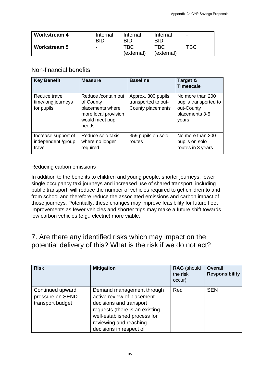| <b>Workstream 4</b> | Internal<br>BID          | Internal<br><b>BID</b> | Internal<br><b>BID</b> | $\overline{\phantom{a}}$ |
|---------------------|--------------------------|------------------------|------------------------|--------------------------|
| <b>Workstream 5</b> | $\overline{\phantom{0}}$ | ТВС<br>(external)      | твс<br>(external)      | TBC                      |

### Non-financial benefits

| <b>Workstream 4</b>                                                                                                                                                                                                                                                                                                                                                                                                                                                                                                       |                    | Internal<br><b>BID</b>                                                               | Internal<br><b>BID</b>                                         | Internal<br><b>BID</b>   |                    | $\qquad \qquad \blacksquare$                                                       |                            |
|---------------------------------------------------------------------------------------------------------------------------------------------------------------------------------------------------------------------------------------------------------------------------------------------------------------------------------------------------------------------------------------------------------------------------------------------------------------------------------------------------------------------------|--------------------|--------------------------------------------------------------------------------------|----------------------------------------------------------------|--------------------------|--------------------|------------------------------------------------------------------------------------|----------------------------|
| <b>Workstream 5</b>                                                                                                                                                                                                                                                                                                                                                                                                                                                                                                       |                    |                                                                                      | <b>TBC</b><br>(external)                                       | <b>TBC</b><br>(external) |                    | <b>TBC</b>                                                                         |                            |
| Non-financial benefits                                                                                                                                                                                                                                                                                                                                                                                                                                                                                                    |                    |                                                                                      |                                                                |                          |                    |                                                                                    |                            |
| <b>Key Benefit</b>                                                                                                                                                                                                                                                                                                                                                                                                                                                                                                        | <b>Measure</b>     |                                                                                      | <b>Baseline</b>                                                |                          |                    | Target &<br><b>Timescale</b>                                                       |                            |
| Reduce travel<br>time/long journeys<br>for pupils                                                                                                                                                                                                                                                                                                                                                                                                                                                                         | of County<br>needs | Reduce / contain out<br>placements where<br>more local provision<br>would meet pupil | Approx. 300 pupils<br>transported to out-<br>County placements |                          |                    | No more than 200<br>pupils transported to<br>out-County<br>placements 3-5<br>years |                            |
| Increase support of<br>independent /group<br>travel                                                                                                                                                                                                                                                                                                                                                                                                                                                                       | required           | Reduce solo taxis<br>where no longer                                                 | 359 pupils on solo<br>routes                                   |                          |                    | No more than 200<br>pupils on solo<br>routes in 3 years                            |                            |
| In addition to the benefits to children and young people, shorter journeys, fewer<br>single occupancy taxi journeys and increased use of shared transport, including<br>public transport, will reduce the number of vehicles required to get children to and<br>from school and therefore reduce the associated emissions and carbon impact of<br>those journeys. Potentially, these changes may improve feasibility for future fleet<br>improvements as fewer vehicles and shorter trips may make a future shift towards |                    |                                                                                      |                                                                |                          |                    |                                                                                    |                            |
| low carbon vehicles (e.g., electric) more viable.<br>7. Are there any identified risks which may impact on the<br>potential delivery of this? What is the risk if we do not act?                                                                                                                                                                                                                                                                                                                                          |                    |                                                                                      |                                                                |                          |                    |                                                                                    |                            |
| <b>Risk</b>                                                                                                                                                                                                                                                                                                                                                                                                                                                                                                               |                    | <b>Mitigation</b>                                                                    |                                                                |                          | the risk<br>occur) | <b>RAG</b> (should                                                                 | <b>Overall</b><br>Responsi |

#### Reducing carbon emissions

## 7. Are there any identified risks which may impact on the potential delivery of this? What is the risk if we do not act?

| <b>Risk</b>                                              | <b>Mitigation</b>                                                                                                                                                                                         | <b>RAG</b> (should<br>the risk<br>occur) | <b>Overall</b><br><b>Responsibility</b> |
|----------------------------------------------------------|-----------------------------------------------------------------------------------------------------------------------------------------------------------------------------------------------------------|------------------------------------------|-----------------------------------------|
| Continued upward<br>pressure on SEND<br>transport budget | Demand management through<br>active review of placement<br>decisions and transport<br>requests (there is an existing<br>well-established process for<br>reviewing and reaching<br>decisions in respect of | Red                                      | <b>SEN</b>                              |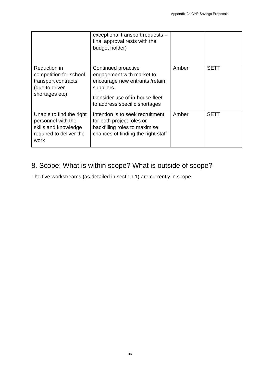|                                                                                                           |                                                                                                                                                                     |       | Appendix 2a CYP Savings Proposals |
|-----------------------------------------------------------------------------------------------------------|---------------------------------------------------------------------------------------------------------------------------------------------------------------------|-------|-----------------------------------|
|                                                                                                           | exceptional transport requests -<br>final approval rests with the<br>budget holder)                                                                                 |       |                                   |
| Reduction in<br>competition for school<br>transport contracts<br>(due to driver<br>shortages etc)         | Continued proactive<br>engagement with market to<br>encourage new entrants /retain<br>suppliers.<br>Consider use of in-house fleet<br>to address specific shortages | Amber | <b>SETT</b>                       |
| Unable to find the right<br>personnel with the<br>skills and knowledge<br>required to deliver the<br>work | Intention is to seek recruitment<br>for both project roles or<br>backfilling roles to maximise<br>chances of finding the right staff                                | Amber | <b>SETT</b>                       |
|                                                                                                           |                                                                                                                                                                     |       |                                   |
|                                                                                                           |                                                                                                                                                                     |       |                                   |
|                                                                                                           |                                                                                                                                                                     |       |                                   |
|                                                                                                           | 36                                                                                                                                                                  |       |                                   |

# 8. Scope: What is within scope? What is outside of scope?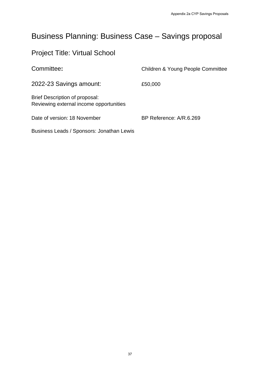# Business Planning: Business Case – Savings proposal

# Project Title: Virtual School

|                                                                                  | Appendix 2a CYP Savings Proposals |
|----------------------------------------------------------------------------------|-----------------------------------|
| <b>Business Planning: Business Case - Savings proposal</b>                       |                                   |
| <b>Project Title: Virtual School</b>                                             |                                   |
| Committee:                                                                       | Children & Young People Committee |
| 2022-23 Savings amount:                                                          | £50,000                           |
| <b>Brief Description of proposal:</b><br>Reviewing external income opportunities |                                   |
| Date of version: 18 November                                                     | BP Reference: A/R.6.269           |
| Business Leads / Sponsors: Jonathan Lewis                                        |                                   |
|                                                                                  |                                   |
|                                                                                  |                                   |
|                                                                                  |                                   |
|                                                                                  |                                   |
|                                                                                  |                                   |
|                                                                                  |                                   |
|                                                                                  |                                   |
|                                                                                  |                                   |
|                                                                                  |                                   |
|                                                                                  |                                   |
|                                                                                  |                                   |
|                                                                                  |                                   |
|                                                                                  |                                   |
|                                                                                  |                                   |
| $37\,$                                                                           |                                   |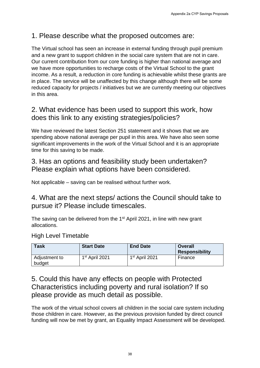# 1. Please describe what the proposed outcomes are:

The Virtual school has seen an increase in external funding through pupil premium and a new grant to support children in the social care system that are not in care. Our current contribution from our core funding is higher than national average and we have more opportunities to recharge costs of the Virtual School to the grant income. As a result, a reduction in core funding is achievable whilst these grants are in place. The service will be unaffected by this change although there will be some reduced capacity for projects / initiatives but we are currently meeting our objectives in this area. Appendix 2a CYP Savings Proposals<br>
and a cyclocal care system that are not in care.<br>
social care system than national average and<br>
ding is higher than national average and<br>
dists of the Virtual School to the grant sare<br>
th

# 2. What evidence has been used to support this work, how does this link to any existing strategies/policies?

We have reviewed the latest Section 251 statement and it shows that we are spending above national average per pupil in this area. We have also seen some significant improvements in the work of the Virtual School and it is an appropriate time for this saving to be made.

## 3. Has an options and feasibility study been undertaken? Please explain what options have been considered.

Not applicable – saving can be realised without further work.

4. What are the next steps/ actions the Council should take to pursue it? Please include timescales.

The saving can be delivered from the 1<sup>st</sup> April 2021, in line with new grant allocations.

### High Level Timetable

| Task                    | <b>Start Date</b>          | <b>End Date</b>            | <b>Overall</b><br><b>Responsibility</b> |
|-------------------------|----------------------------|----------------------------|-----------------------------------------|
| Adjustment to<br>budget | 1 <sup>st</sup> April 2021 | 1 <sup>st</sup> April 2021 | Finance                                 |

# 5. Could this have any effects on people with Protected Characteristics including poverty and rural isolation? If so please provide as much detail as possible.

The work of the virtual school covers all children in the social care system including those children in care. However, as the previous provision funded by direct council funding will now be met by grant, an Equality Impact Assessment will be developed.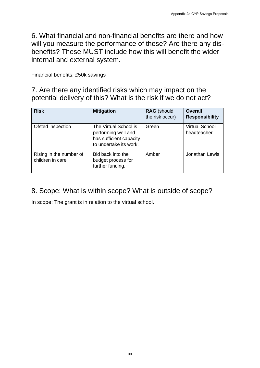| 6. What financial and non-financial benefits are there and how<br>will you measure the performance of these? Are there any dis-<br>benefits? These MUST include how this will benefit the wider<br>internal and external system.<br>Financial benefits: £50k savings<br>7. Are there any identified risks which may impact on the<br>potential delivery of this? What is the risk if we do not act?<br><b>Risk</b><br><b>Mitigation</b><br><b>RAG</b> (should<br>the risk occur)<br>The Virtual School is<br>Ofsted inspection<br>Green<br>performing well and<br>has sufficient capacity<br>to undertake its work.<br>Rising in the number of<br>Amber<br>Bid back into the<br>children in care<br>budget process for<br>further funding.<br>8. Scope: What is within scope? What is outside of scope?<br>In scope: The grant is in relation to the virtual school. | <b>Overall</b><br>headteacher | <b>Responsibility</b> |
|----------------------------------------------------------------------------------------------------------------------------------------------------------------------------------------------------------------------------------------------------------------------------------------------------------------------------------------------------------------------------------------------------------------------------------------------------------------------------------------------------------------------------------------------------------------------------------------------------------------------------------------------------------------------------------------------------------------------------------------------------------------------------------------------------------------------------------------------------------------------|-------------------------------|-----------------------|
|                                                                                                                                                                                                                                                                                                                                                                                                                                                                                                                                                                                                                                                                                                                                                                                                                                                                      |                               |                       |
|                                                                                                                                                                                                                                                                                                                                                                                                                                                                                                                                                                                                                                                                                                                                                                                                                                                                      |                               |                       |
|                                                                                                                                                                                                                                                                                                                                                                                                                                                                                                                                                                                                                                                                                                                                                                                                                                                                      |                               |                       |
|                                                                                                                                                                                                                                                                                                                                                                                                                                                                                                                                                                                                                                                                                                                                                                                                                                                                      |                               |                       |
|                                                                                                                                                                                                                                                                                                                                                                                                                                                                                                                                                                                                                                                                                                                                                                                                                                                                      |                               | <b>Virtual School</b> |
|                                                                                                                                                                                                                                                                                                                                                                                                                                                                                                                                                                                                                                                                                                                                                                                                                                                                      |                               | Jonathan Lewis        |
|                                                                                                                                                                                                                                                                                                                                                                                                                                                                                                                                                                                                                                                                                                                                                                                                                                                                      |                               |                       |
|                                                                                                                                                                                                                                                                                                                                                                                                                                                                                                                                                                                                                                                                                                                                                                                                                                                                      |                               |                       |
|                                                                                                                                                                                                                                                                                                                                                                                                                                                                                                                                                                                                                                                                                                                                                                                                                                                                      |                               |                       |
|                                                                                                                                                                                                                                                                                                                                                                                                                                                                                                                                                                                                                                                                                                                                                                                                                                                                      |                               |                       |

# 8. Scope: What is within scope? What is outside of scope?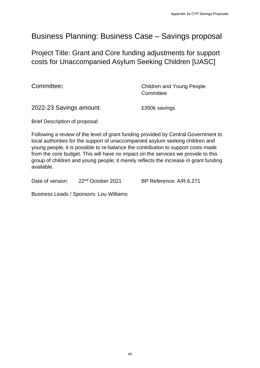# Business Planning: Business Case – Savings proposal

Project Title: Grant and Core funding adjustments for support costs for Unaccompanied Asylum Seeking Children [UASC]

**Committee:** Committee: **Committee:** Children and Young People **Committee** 

2022-23 Savings amount: £350k savings

Brief Description of proposal:

Following a review of the level of grant funding provided by Central Government to local authorities for the support of unaccompanied asylum seeking children and young people, it is possible to re-balance the contribution to support costs made from the core budget. This will have no impact on the services we provide to this group of children and young people; it merely reflects the increase in grant funding available. Appendix 2a CYP Savings Proposals<br>
SCASSE - SAVings proposals<br>
Inding adjustments for support<br>
Im Seeking Children [UASC]<br>
Children and Young People<br>
Committee<br>
E350k savings<br>
Inding provided by Central Government to<br>
mpan

Date of version: 22<sup>nd</sup> October 2021 BP Reference: A/R.6.271

Business Leads / Sponsors: Lou Williams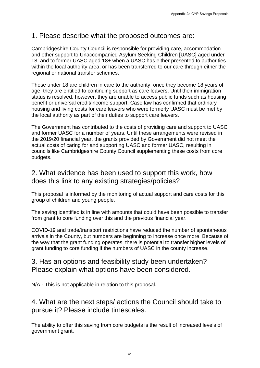## 1. Please describe what the proposed outcomes are:

Cambridgeshire County Council is responsible for providing care, accommodation and other support to Unaccompanied Asylum Seeking Children [UASC] aged under 18, and to former UASC aged 18+ when a UASC has either presented to authorities within the local authority area, or has been transferred to our care through either the regional or national transfer schemes.

Those under 18 are children in care to the authority; once they become 18 years of age, they are entitled to continuing support as care leavers. Until their immigration status is resolved, however, they are unable to access public funds such as housing benefit or universal credit/income support. Case law has confirmed that ordinary housing and living costs for care leavers who were formerly UASC must be met by the local authority as part of their duties to support care leavers.

The Government has contributed to the costs of providing care and support to UASC and former UASC for a number of years. Until these arrangements were revised in the 2019/20 financial year, the grants provided by Government did not meet the actual costs of caring for and supporting UASC and former UASC, resulting in councils like Cambridgeshire County Council supplementing these costs from core budgets. Appendix 2a CYP Savings Proposals<br>
appendix 2a CYP Savings Proposals<br>
plum Seeking Children [UASC] aged under<br>
uIASC has either presented to authorities<br>
1 UASC has either presented to authorities<br>
1 authority; once they b

# 2. What evidence has been used to support this work, how does this link to any existing strategies/policies?

This proposal is informed by the monitoring of actual support and care costs for this group of children and young people.

The saving identified is in line with amounts that could have been possible to transfer from grant to core funding over this and the previous financial year.

COVID-19 and trade/transport restrictions have reduced the number of spontaneous arrivals in the County, but numbers are beginning to increase once more. Because of the way that the grant funding operates, there is potential to transfer higher levels of grant funding to core funding if the numbers of UASC in the county increase.

## 3. Has an options and feasibility study been undertaken? Please explain what options have been considered.

N/A - This is not applicable in relation to this proposal.

## 4. What are the next steps/ actions the Council should take to pursue it? Please include timescales.

The ability to offer this saving from core budgets is the result of increased levels of government grant.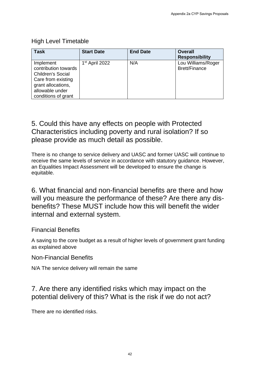### High Level Timetable

| <b>Task</b>                                                                                                                                  | <b>Start Date</b> | <b>End Date</b> | <b>Overall</b><br><b>Responsibility</b>                                                                                       |
|----------------------------------------------------------------------------------------------------------------------------------------------|-------------------|-----------------|-------------------------------------------------------------------------------------------------------------------------------|
| Implement<br>contribution towards<br>Children's Social<br>Care from existing<br>grant allocations,<br>allowable under<br>conditions of grant | 1st April 2022    | N/A             | Lou Williams/Roger<br><b>Brett/Finance</b>                                                                                    |
|                                                                                                                                              |                   |                 |                                                                                                                               |
| 5. Could this have any effects on people with Protected                                                                                      |                   |                 |                                                                                                                               |
| Characteristics including poverty and rural isolation? If so                                                                                 |                   |                 |                                                                                                                               |
| please provide as much detail as possible.                                                                                                   |                   |                 |                                                                                                                               |
|                                                                                                                                              |                   |                 | There is no change to service delivery and UASC and former UASC will continue to                                              |
|                                                                                                                                              |                   |                 | receive the same levels of service in accordance with statutory guidance. However,                                            |
| an Equalities Impact Assessment will be developed to ensure the change is<br>equitable.                                                      |                   |                 |                                                                                                                               |
|                                                                                                                                              |                   |                 |                                                                                                                               |
|                                                                                                                                              |                   |                 | 6. What financial and non-financial benefits are there and how                                                                |
|                                                                                                                                              |                   |                 | will you measure the performance of these? Are there any dis-<br>benefits? These MUST include how this will benefit the wider |
| internal and external system.                                                                                                                |                   |                 |                                                                                                                               |
| <b>Financial Benefits</b>                                                                                                                    |                   |                 |                                                                                                                               |
| as explained above                                                                                                                           |                   |                 | A saving to the core budget as a result of higher levels of government grant funding                                          |
| <b>Non-Financial Benefits</b>                                                                                                                |                   |                 |                                                                                                                               |
| N/A The service delivery will remain the same                                                                                                |                   |                 |                                                                                                                               |
|                                                                                                                                              |                   |                 |                                                                                                                               |
| 7. Are there any identified risks which may impact on the                                                                                    |                   |                 | potential delivery of this? What is the risk if we do not act?                                                                |
| There are no identified risks.                                                                                                               |                   |                 |                                                                                                                               |

# 5. Could this have any effects on people with Protected Characteristics including poverty and rural isolation? If so please provide as much detail as possible.

# 7. Are there any identified risks which may impact on the potential delivery of this? What is the risk if we do not act?